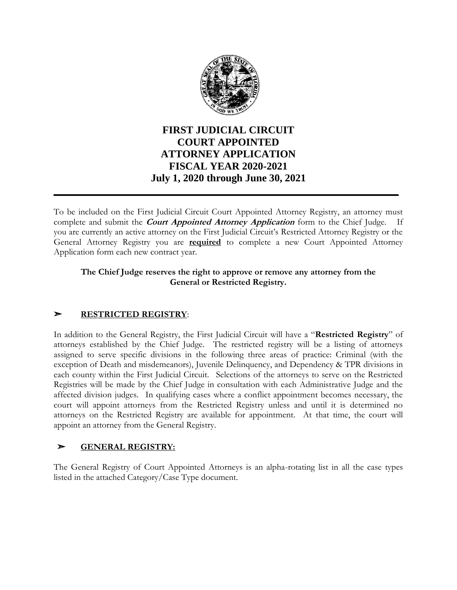

# **FIRST JUDICIAL CIRCUIT COURT APPOINTED ATTORNEY APPLICATION FISCAL YEAR 2020-2021 July 1, 2020 through June 30, 2021**

**\_\_\_\_\_\_\_\_\_\_\_\_\_\_\_\_\_\_\_\_\_\_\_\_\_\_\_\_\_\_\_\_\_\_\_\_\_\_\_\_\_\_\_\_\_\_\_\_\_\_\_\_\_\_\_\_\_\_\_\_\_\_\_\_\_\_**

To be included on the First Judicial Circuit Court Appointed Attorney Registry, an attorney must complete and submit the **Court Appointed Attorney Application** form to the Chief Judge. you are currently an active attorney on the First Judicial Circuit's Restricted Attorney Registry or the General Attorney Registry you are **required** to complete a new Court Appointed Attorney Application form each new contract year.

#### **The Chief Judge reserves the right to approve or remove any attorney from the General or Restricted Registry.**

## ➣ **RESTRICTED REGISTRY**:

In addition to the General Registry, the First Judicial Circuit will have a "**Restricted Registry**" of attorneys established by the Chief Judge. The restricted registry will be a listing of attorneys assigned to serve specific divisions in the following three areas of practice: Criminal (with the exception of Death and misdemeanors), Juvenile Delinquency, and Dependency & TPR divisions in each county within the First Judicial Circuit. Selections of the attorneys to serve on the Restricted Registries will be made by the Chief Judge in consultation with each Administrative Judge and the affected division judges. In qualifying cases where a conflict appointment becomes necessary, the court will appoint attorneys from the Restricted Registry unless and until it is determined no attorneys on the Restricted Registry are available for appointment. At that time, the court will appoint an attorney from the General Registry.

### ➣ **GENERAL REGISTRY:**

The General Registry of Court Appointed Attorneys is an alpha-rotating list in all the case types listed in the attached Category/Case Type document.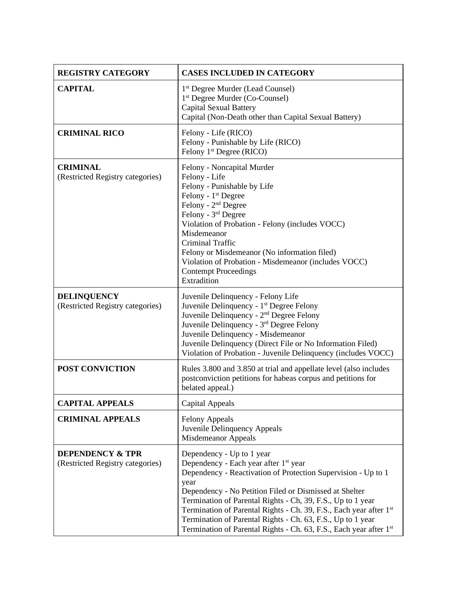| <b>REGISTRY CATEGORY</b>                                        | <b>CASES INCLUDED IN CATEGORY</b>                                                                                                                                                                                                                                                                                                                                                                                                                                                           |
|-----------------------------------------------------------------|---------------------------------------------------------------------------------------------------------------------------------------------------------------------------------------------------------------------------------------------------------------------------------------------------------------------------------------------------------------------------------------------------------------------------------------------------------------------------------------------|
| <b>CAPITAL</b>                                                  | 1 <sup>st</sup> Degree Murder (Lead Counsel)<br>1 <sup>st</sup> Degree Murder (Co-Counsel)<br><b>Capital Sexual Battery</b><br>Capital (Non-Death other than Capital Sexual Battery)                                                                                                                                                                                                                                                                                                        |
| <b>CRIMINAL RICO</b>                                            | Felony - Life (RICO)<br>Felony - Punishable by Life (RICO)<br>Felony 1 <sup>st</sup> Degree (RICO)                                                                                                                                                                                                                                                                                                                                                                                          |
| <b>CRIMINAL</b><br>(Restricted Registry categories)             | Felony - Noncapital Murder<br>Felony - Life<br>Felony - Punishable by Life<br>Felony - 1 <sup>st</sup> Degree<br>Felony - 2 <sup>nd</sup> Degree<br>Felony - 3 <sup>rd</sup> Degree<br>Violation of Probation - Felony (includes VOCC)<br>Misdemeanor<br><b>Criminal Traffic</b><br>Felony or Misdemeanor (No information filed)<br>Violation of Probation - Misdemeanor (includes VOCC)<br><b>Contempt Proceedings</b><br>Extradition                                                      |
| <b>DELINQUENCY</b><br>(Restricted Registry categories)          | Juvenile Delinquency - Felony Life<br>Juvenile Delinquency - 1 <sup>st</sup> Degree Felony<br>Juvenile Delinquency - 2 <sup>nd</sup> Degree Felony<br>Juvenile Delinquency - 3rd Degree Felony<br>Juvenile Delinquency - Misdemeanor<br>Juvenile Delinquency (Direct File or No Information Filed)<br>Violation of Probation - Juvenile Delinquency (includes VOCC)                                                                                                                         |
| POST CONVICTION                                                 | Rules 3.800 and 3.850 at trial and appellate level (also includes<br>postconviction petitions for habeas corpus and petitions for<br>belated appeal.)                                                                                                                                                                                                                                                                                                                                       |
| <b>CAPITAL APPEALS</b>                                          | Capital Appeals                                                                                                                                                                                                                                                                                                                                                                                                                                                                             |
| <b>CRIMINAL APPEALS</b>                                         | <b>Felony Appeals</b><br>Juvenile Delinquency Appeals<br>Misdemeanor Appeals                                                                                                                                                                                                                                                                                                                                                                                                                |
| <b>DEPENDENCY &amp; TPR</b><br>(Restricted Registry categories) | Dependency - Up to 1 year<br>Dependency - Each year after 1 <sup>st</sup> year<br>Dependency - Reactivation of Protection Supervision - Up to 1<br>year<br>Dependency - No Petition Filed or Dismissed at Shelter<br>Termination of Parental Rights - Ch, 39, F.S., Up to 1 year<br>Termination of Parental Rights - Ch. 39, F.S., Each year after 1st<br>Termination of Parental Rights - Ch. 63, F.S., Up to 1 year<br>Termination of Parental Rights - Ch. 63, F.S., Each year after 1st |